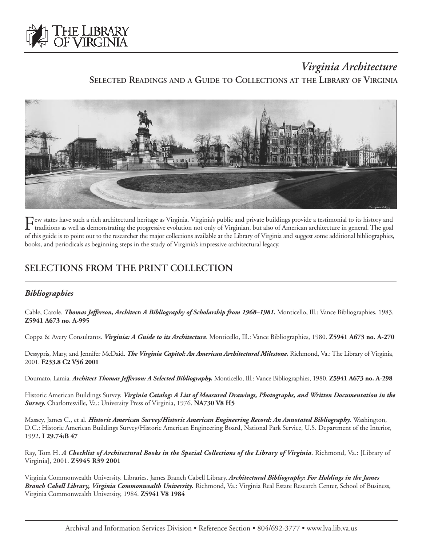

# *Virginia Architecture*

**SELECTED READINGS AND A GUIDE TO COLLECTIONS AT THE LIBRARY OF VIRGINIA**



Few states have such a rich architectural heritage as Virginia. Virginia's public and private buildings provide a testimonial to its history and<br>traditions as well as demonstrating the progressive evolution not only of Vir of this guide is to point out to the researcher the major collections available at the Library of Virginia and suggest some additional bibliographies, books, and periodicals as beginning steps in the study of Virginia's impressive architectural legacy.

# **SELECTIONS FROM THE PRINT COLLECTION**

## *Bibliographies*

Cable, Carole. *Thomas Jefferson, Architect: A Bibliography of Scholarship from 1968–1981.* Monticello, Ill.: Vance Bibliographies, 1983. **Z5941 A673 no. A-995** 

Coppa & Avery Consultants. *Virginia: A Guide to its Architecture*. Monticello, Ill.: Vance Bibliographies, 1980. **Z5941 A673 no. A-270**

Dessypris, Mary, and Jennifer McDaid. *The Virginia Capitol: An American Architectural Milestone*. Richmond, Va.: The Library of Virginia, 2001. **F233.8 C2 V56 2001**

Doumato, Lamia. *Architect Thomas Jefferson: A Selected Bibliography.* Monticello, Ill.: Vance Bibliographies, 1980. **Z5941 A673 no. A-298**

Historic American Buildings Survey. *Virginia Catalog: A List of Measured Drawings, Photographs, and Written Documentation in the Survey.* Charlottesville, Va.: University Press of Virginia, 1976. **NA730 V8 H5**

Massey, James C., et al. *Historic American Survey/Historic American Engineering Record: An Annotated Bibliography.* Washington, D.C.: Historic American Buildings Survey/Historic American Engineering Board, National Park Service, U.S. Department of the Interior, 1992**. I 29.74:B 47**

Ray, Tom H. *A Checklist of Architectural Books in the Special Collections of the Library of Virginia*. Richmond, Va.: [Library of Virginia], 2001. **Z5945 R39 2001**

Virginia Commonwealth University. Libraries. James Branch Cabell Library. *Architectural Bibliography: For Holdings in the James Branch Cabell Library, Virginia Commonwealth University***.** Richmond, Va.: Virginia Real Estate Research Center, School of Business, Virginia Commonwealth University, 1984. **Z5941 V8 1984**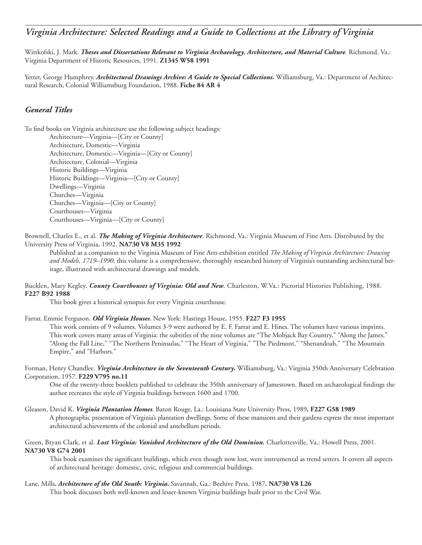# *Virginia Architecture: Selected Readings and a Guide to Collections at the Library of Virginia*

Wittkofski, J. Mark. *Theses and Dissertations Relevant to Virginia Archaeology, Architecture, and Material Culture.* Richmond, Va.: Virginia Department of Historic Resources, 1991. **Z1345 W58 1991**

Yetter, George Humphrey. *Architectural Drawings Archive: A Guide to Special Collections*. Williamsburg, Va.: Department of Architectural Research, Colonial Williamsburg Foundation, 1988. **Fiche 84 AR 4** 

## *General Titles*

To find books on Virginia architecture use the following subject headings:

Architecture—Virginia—[City or County] Architecture, Domestic—Virginia Architecture, Domestic—Virginia—[City or County] Architecture, Colonial—Virginia Historic Buildings—Virginia Historic Buildings—Virginia—[City or County] Dwellings—Virginia Churches—Virginia Churches—Virginia—[City or County] Courthouses—Virginia Courthouses—Virginia—[City or County]

Brownell, Charles E., et al. *The Making of Virginia Architecture*. Richmond, Va.: Virginia Museum of Fine Arts. Distributed by the University Press of Virginia, 1992. **NA730 V8 M35 1992**

Published as a companion to the Virginia Museum of Fine Arts exhibition entitled *The Making of Virginia Architecture: Drawing and Models, 1719–1990*, this volume is a comprehensive, thoroughly researched history of Virginia's outstanding architectural heritage, illustrated with architectural drawings and models.

Bucklen, Mary Kegley. *County Courthouses of Virginia: Old and New*. Charleston, W.Va.: Pictorial Histories Publishing, 1988. **F227 B92 1988**

This book gives a historical synopsis for every Virginia courthouse.

Farrar, Emmie Ferguson. *Old Virginia Houses*. New York: Hastings House, 1955. **F227 F3 1955**

This work consists of 9 volumes. Volumes 3-9 were authored by E. F. Farrar and E. Hines. The volumes have various imprints. This work covers many areas of Virginia: the subtitles of the nine volumes are "The Mobjack Bay Country," "Along the James," "Along the Fall Line," "The Northern Peninsulas," "The Heart of Virginia," "The Piedmont," "Shenandoah," "The Mountain Empire," and "Harbors."

Forman, Henry Chandlee. *Virginia Architecture in the Seventeenth Century.* Williamsburg, Va.: Virginia 350th Anniversary Celebration Corporation, 1957. **F229 V795 no.11**

One of the twenty-three booklets published to celebrate the 350th anniversary of Jamestown. Based on archaeological findings the author recreates the style of Virginia buildings between 1600 and 1700.

Gleason, David K. *Virginia Plantation Homes*. Baton Rouge, La.: Louisiana State University Press, 1989**. F227 G58 1989** A photographic presentation of Virginia's plantation dwellings. Some of these mansions and their gardens express the most important architectural achievements of the colonial and antebellum periods.

#### Green, Bryan Clark, et al. *Lost Virginia: Vanished Architecture of the Old Dominion*. Charlottesville, Va.: Howell Press, 2001. **NA730 V8 G74 2001**

This book examines the significant buildings, which even though now lost, were instrumental as trend setters. It covers all aspects of architectural heritage: domestic, civic, religious and commercial buildings.

#### Lane, Mills**.** *Architecture of the Old South: Virginia.* Savannah, Ga.: Beehive Press, 1987**. NA730 V8 L26**

This book discusses both well-known and lesser-known Virginia buildings built prior to the Civil War.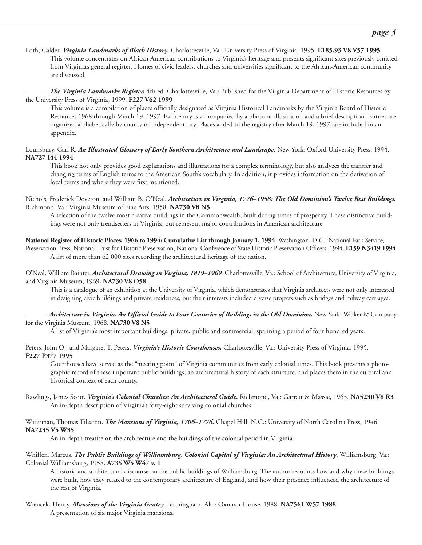- Loth, Calder. *Virginia Landmarks of Black History.* Charlottesville, Va.: University Press of Virginia, 1995. **E185.93 V8 V57 1995** This volume concentrates on African American contributions to Virginia's heritage and presents significant sites previously omitted from Virginia's general register. Homes of civic leaders, churches and universities significant to the African-American community are discussed.
- ———. *The Virginia Landmarks Register.* 4th ed. Charlottesville, Va.: Published for the Virginia Department of Historic Resources by the University Press of Virginia, 1999. **F227 V62 1999**

This volume is a compilation of places officially designated as Virginia Historical Landmarks by the Virginia Board of Historic Resources 1968 through March 19, 1997. Each entry is accompanied by a photo or illustration and a brief description. Entries are organized alphabetically by county or independent city. Places added to the registry after March 19, 1997, are included in an appendix.

Lounsbury, Carl R. *An Illustrated Glossary of Early Southern Architecture and Landscape*. New York: Oxford University Press, 1994. **NA727 I44 1994**

This book not only provides good explanations and illustrations for a complex terminology, but also analyzes the transfer and changing terms of English terms to the American South's vocabulary. In addition, it provides information on the derivation of local terms and where they were first mentioned.

Nichols, Frederick Doveton, and William B. O'Neal. *Architecture in Virginia, 1776–1958: The Old Dominion's Twelve Best Buildings.* Richmond, Va.: Virginia Museum of Fine Arts, 1958. **NA730 V8 N5**

A selection of the twelve most creative buildings in the Commonwealth, built during times of prosperity. These distinctive buildings were not only trendsetters in Virginia, but represent major contributions in American architecture

**National Register of Historic Places, 1966 to 1994: Cumulative List through January 1, 1994**. Washington, D.C.: National Park Service,

Preservation Press, National Trust for Historic Preservation, National Conference of State Historic Preservation Officers, 1994. **E159 N3419 1994** A list of more than 62,000 sites recording the architectural heritage of the nation.

O'Neal, William Bainter. *Architectural Drawing in Virginia, 1819–1969.* Charlottesville, Va.: School of Architecture, University of Virginia, and Virginia Museum, 1969**. NA730 V8 O58**

This is a catalogue of an exhibition at the University of Virginia, which demonstrates that Virginia architects were not only interested in designing civic buildings and private residences, but their interests included diverse projects such as bridges and railway carriages.

#### ———. *Architecture in Virginia. An Official Guide to Four Centuries of Buildings in the Old Dominion.* New York: Walker & Company for the Virginia Museum, 1968. **NA730 V8 N5**

A list of Virginia's most important buildings, private, public and commercial, spanning a period of four hundred years.

Peters, John O., and Margaret T. Peters. *Virginia's Historic Courthouses.* Charlottesville, Va.: University Press of Virginia, 1995. **F227 P377 1995**

Courthouses have served as the "meeting point" of Virginia communities from early colonial times. This book presents a photographic record of these important public buildings, an architectural history of each structure, and places them in the cultural and historical context of each county.

Rawlings, James Scott. *Virginia's Colonial Churches: An Architectural Guide.* Richmond, Va.: Garrett & Massie, 1963. **NA5230 V8 R3** An in-depth description of Virginia's forty-eight surviving colonial churches.

Waterman, Thomas Tileston. *The Mansions of Virginia, 1706–1776***.** Chapel Hill, N.C.: University of North Carolina Press, 1946. **NA7235 V5 W35**

An in-depth treatise on the architecture and the buildings of the colonial period in Virginia.

Whiffen, Marcus. *The Public Buildings of Williamsburg, Colonial Capital of Virginia: An Architectural History*. Williamsburg, Va.: Colonial Williamsburg, 1958. **A735 W5 W47 v. 1**

A historic and architectural discourse on the public buildings of Williamsburg. The author recounts how and why these buildings were built, how they related to the contemporary architecture of England, and how their presence influenced the architecture of the rest of Virginia.

Wiencek, Henry. *Mansions of the Virginia Gentry*. Birmingham, Ala.: Oxmoor House, 1988. **NA7561 W57 1988** A presentation of six major Virginia mansions.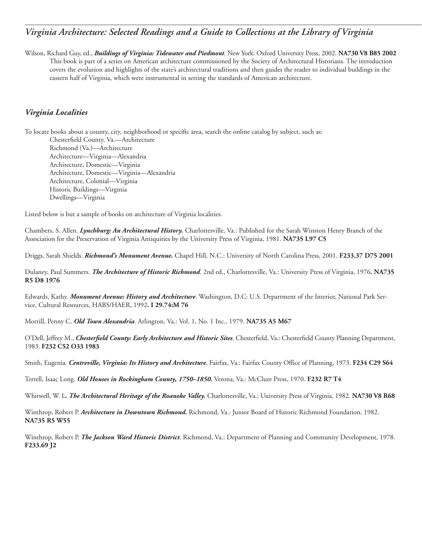# *Virginia Architecture: Selected Readings and a Guide to Collections at the Library of Virginia*

Wilson, Richard Guy, ed., *Buildings of Virginia: Tidewater and Piedmont*. New York: Oxford University Press, 2002. **NA730 V8 B85 2002** This book is part of a series on American architecture commissioned by the Society of Architectural Historians. The introduction covers the evolution and highlights of the state's architectural traditions and then guides the reader to individual buildings in the eastern half of Virginia, which were instrumental in setting the standards of American architecture.

## *Virginia Localities*

To locate books about a county, city, neighborhood or specific area, search the online catalog by subject, such as: Chesterfield County, Va.—Architecture Richmond (Va.)—Architecture Architecture—Virginia—Alexandria Architecture, Domestic—Virginia Architecture, Domestic—Virginia—Alexandria Architecture, Colonial—Virginia Historic Buildings—Virginia Dwellings—Virginia

Listed below is but a sample of books on architecture of Virginia localities.

Chambers, S. Allen. *Lynchburg: An Architectural History.* Charlottesville, Va.: Published for the Sarah Winston Henry Branch of the Association for the Preservation of Virginia Antiquities by the University Press of Virginia, 1981. **NA735 L97 C5**

Driggs, Sarah Shields. *Richmond's Monument Avenue.* Chapel Hill, N.C.: University of North Carolina Press, 2001. **F233.37 D75 2001**

Dulaney, Paul Summers. *The Architecture of Historic Richmond*. 2nd ed., Charlottesville, Va.: University Press of Virginia, 1976**. NA735 R5 D8 1976**

Edwards, Kathy. *Monument Avenue: History and Architecture*. Washington, D.C: U.S. Department of the Interior, National Park Service, Cultural Resources, HABS/HAER, 1992**. I 29.74:M 76**

Morrill, Penny C. *Old Town Alexandria*. Arlington, Va.: Vol. 1, No. 1 Inc., 1979. **NA735 A5 M67**

O'Dell, Jeffrey M., *Chesterfield County: Early Architecture and Historic Sites*. Chesterfield, Va.: Chesterfield County Planning Department, 1983. **F232 C52 O33 1983**

Smith, Eugenia*. Centreville, Virginia: Its History and Architecture*. Fairfax, Va.: Fairfax County Office of Planning, 1973. **F234 C29 S64**

Terrell, Isaac Long. *Old Houses in Rockingham County, 1750–1850.* Verona, Va.: McClure Press, 1970. **F232 R7 T4**

Whitwell, W. L**.** *The Architectural Heritage of the Roanoke Valley.* Charlottesville, Va.: University Press of Virginia, 1982. **NA730 V8 R68**

Winthrop, Robert P. *Architecture in Downtown Richmond.* Richmond, Va.: Junior Board of Historic Richmond Foundation, 1982. **NA735 R5 W55**

Winthrop, Robert P. *The Jackson Ward Historic District*. Richmond, Va.: Department of Planning and Community Development, 1978. **F233.69 J2**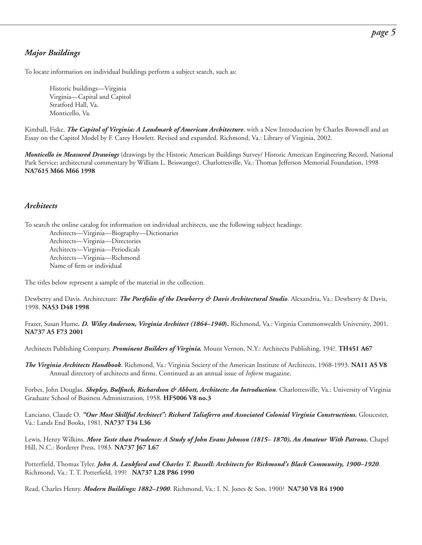## *Major Buildings*

To locate information on individual buildings perform a subject search, such as:

Historic buildings—Virginia Virginia—Capital and Capitol Stratford Hall, Va. Monticello, Va.

Kimball, Fiske. *The Capitol of Virginia: A Landmark of American Architecture*, with a New Introduction by Charles Brownell and an Essay on the Capitol Model by F. Carey Howlett. Revised and expanded. Richmond, Va.: Library of Virginia, 2002.

*Monticello in Measured Drawings* (drawings by the Historic American Buildings Survey/ Historic American Engineering Record, National Park Service; architectural commentary by William L. Beiswanger). Charlottesville, Va.: Thomas Jefferson Memorial Foundation, 1998 **NA7615 M66 M66 1998**

### *Architects*

To search the online catalog for information on individual architects, use the following subject headings:

Architects—Virginia—Biography—Dictionaries Architects—Virginia—Directories Architects—Virginia—Periodicals Architects—Virginia—Richmond Name of firm or individual

The titles below represent a sample of the material in the collection.

Dewberry and Davis. Architecture: *The Portfolio of the Dewberry & Davis Architectural Studio*. Alexandria, Va.: Dewberry & Davis, 1998. **NA53 D48 1998**

Frazer, Susan Hume*. D. Wiley Anderson, Virginia Architect (1864–1940***).** Richmond, Va.: Virginia Commonwealth University, 2001. **NA737 A5 F73 2001**

Architects Publishing Company. *Prominent Builders of Virginia.* Mount Vernon, N.Y.: Architects Publishing, 194?. **TH451 A67**

*The Virginia Architects Handbook*. Richmond, Va.: Virginia Society of the American Institute of Architects, 1968-1993. **NA11 A5 V8** Annual directory of architects and firms. Continued as an annual issue of *Inform* magazine.

Forbes, John Douglas. *Shepley, Bulfinch, Richardson & Abbott, Architects: An Introduction*. Charlottesville, Va.: University of Virginia Graduate School of Business Administration, 1958. **HF5006 V8 no.3**

Lanciano, Claude O*. "Our Most Skillful Architect": Richard Taliaferro and Associated Colonial Virginia Constructions.* Gloucester, Va.: Lands End Books, 1981. **NA737 T34 L36**

Lewis, Henry Wilkins. *More Taste than Prudence: A Study of John Evans Johnson (1815– 1870), An Amateur With Patrons***.** Chapel Hill, N.C.: Borderer Press, 1983. **NA737 J67 L67**

Potterfield, Thomas Tyler. *John A. Lankford and Charles T. Russell: Architects for Richmond's Black Community, 1900–1920*. Richmond, Va.: T. T. Potterfield, 199? **NA737 L28 P86 1990** 

Read, Charles Henry. *Modern Buildings: 1882–1900*. Richmond, Va.: I. N. Jones & Son, 1900? **NA730 V8 R4 1900**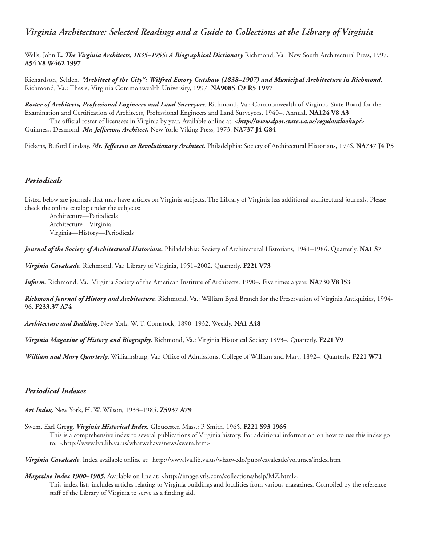# *Virginia Architecture: Selected Readings and a Guide to Collections at the Library of Virginia*

Wells, John E**.** *The Virginia Architects, 1835–1955: A Biographical Dictionary* Richmond, Va.: New South Architectural Press, 1997. **A54 V8 W462 1997**

Richardson, Selden. *"Architect of the City": Wilfred Emory Cutshaw (1838–1907) and Municipal Architecture in Richmond*. Richmond, Va.: Thesis, Virginia Commonwealth University, 1997. **NA9085 C9 R5 1997**

*Roster of Architects, Professional Engineers and Land Surveyors*. Richmond, Va.: Commonwealth of Virginia, State Board for the Examination and Certification of Architects, Professional Engineers and Land Surveyors. 1940–. Annual. **NA124 V8 A3** The official roster of licensees in Virginia by year. Available online at: <*<http://www.dpor.state.va.us/regulantlookup/>*> Guinness, Desmond. *Mr. Jefferson, Architect.* New York: Viking Press, 1973. **NA737 J4 G84**

Pickens, Buford Lindsay. *Mr. Jefferson as Revolutionary Architect.* Philadelphia: Society of Architectural Historians, 1976. **NA737 J4 P5**

### *Periodicals*

Listed below are journals that may have articles on Virginia subjects. The Library of Virginia has additional architectural journals. Please check the online catalog under the subjects:

Architecture—Periodicals Architecture—Virginia Virginia—History—Periodicals

*Journal of the Society of Architectural Historians.* Philadelphia: Society of Architectural Historians, 1941–1986. Quarterly. **NA1 S7**

*Virginia Cavalcade.* Richmond, Va.: Library of Virginia, 1951–2002. Quarterly. **F221 V73**

*Inform.* Richmond, Va.: Virginia Society of the American Institute of Architects, 1990–*.* Five times a year. **NA730 V8 I53**

*Richmond Journal of History and Architecture.* Richmond, Va.: William Byrd Branch for the Preservation of Virginia Antiquities, 1994- 96. **F233.37 A74**

*Architecture and Building*. New York: W. T. Comstock, 1890–1932. Weekly. **NA1 A48**

*Virginia Magazine of History and Biography.* Richmond, Va.: Virginia Historical Society 1893–. Quarterly. **F221 V9**

*William and Mary Quarterly*. Williamsburg, Va.: Office of Admissions, College of William and Mary, 1892–. Quarterly. **F221 W71**

### *Periodical Indexes*

*Art Index,* New York, H. W. Wilson, 1933–1985. **Z5937 A79**

Swem, Earl Gregg. *Virginia Historical Index.* Gloucester, Mass.: P. Smith, 1965. **F221 S93 1965** 

This is a comprehensive index to several publications of Virginia history. For additional information on how to use this index go to: [<http://www.lva.lib.va.us/whatwehave/news/swem.htm>](http://www.lva.lib.va.us/whatwehave/news/swem.htm)

*Virginia Cavalcade*. Index available online at: <http://www.lva.lib.va.us/whatwedo/pubs/cavalcade/volumes/index.htm>

*Magazine Index 1900–1985*. Available on line at: [<http://image.vtls.com/collections/help/MZ.html](http://image.vtls.com/collections/help/MZ.html)>. This index lists includes articles relating to Virginia buildings and localities from various magazines. Compiled by the reference staff of the Library of Virginia to serve as a finding aid.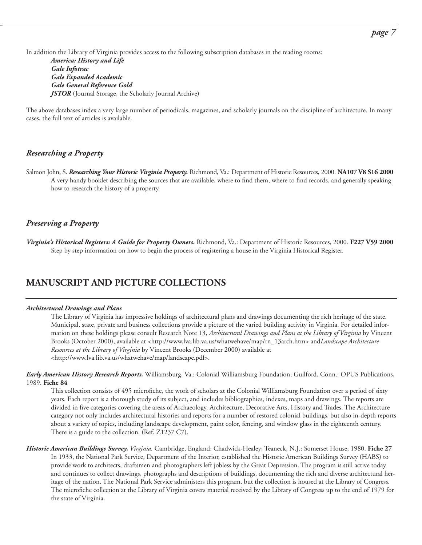In addition the Library of Virginia provides access to the following subscription databases in the reading rooms:

*America: History and Life Gale Infotrac Gale Expanded Academic Gale General Reference Gold JSTOR* (Journal Storage, the Scholarly Journal Archive)

The above databases index a very large number of periodicals, magazines, and scholarly journals on the discipline of architecture. In many cases, the full text of articles is available.

### *Researching a Property*

Salmon John, S. *Researching Your Historic Virginia Property.* Richmond, Va.: Department of Historic Resources, 2000. **NA107 V8 S16 2000** A very handy booklet describing the sources that are available, where to find them, where to find records, and generally speaking how to research the history of a property.

### *Preserving a Property*

*Virginia's Historical Registers: A Guide for Property Owners.* Richmond, Va.: Department of Historic Resources, 2000. **F227 V59 2000** Step by step information on how to begin the process of registering a house in the Virginia Historical Register.

## **MANUSCRIPT AND PICTURE COLLECTIONS**

#### *Architectural Drawings and Plans*

The Library of Virginia has impressive holdings of architectural plans and drawings documenting the rich heritage of the state. Municipal, state, private and business collections provide a picture of the varied building activity in Virginia. For detailed information on these holdings please consult Research Note 13, *Architectural Drawings and Plans at the Library of Virginia* by Vincent Brooks (October 2000), available at [<http://www.lva.lib.va.us/whatwehave/map/rn\\_13arch.htm>](http://www.lva.lib.va.us/whatwehave/map/rn_13arch.htm) and*Landscape Architecture Resources at the Library of Virginia* by Vincent Brooks (December 2000) available at <[http://www.lva.lib.va.us/whatwehave/map/landscape.pd](http://www.lva.lib.va.us/whatwehave/map/landscape.pdf)f>.

*Early American History Research Reports.* Williamsburg, Va.: Colonial Williamsburg Foundation; Guilford, Conn.: OPUS Publications, 1989. **Fiche 84**

This collection consists of 495 microfiche, the work of scholars at the Colonial Williamsburg Foundation over a period of sixty years. Each report is a thorough study of its subject, and includes bibliographies, indexes, maps and drawings. The reports are divided in five categories covering the areas of Archaeology, Architecture, Decorative Arts, History and Trades. The Architecture category not only includes architectural histories and reports for a number of restored colonial buildings, but also in-depth reports about a variety of topics, including landscape development, paint color, fencing, and window glass in the eighteenth century. There is a guide to the collection. (Ref. Z1237 C7).

*Historic American Buildings Survey. Virginia.* Cambridge, England: Chadwick-Healey; Teaneck, N.J.: Somerset House, 1980. **Fiche 27** In 1933, the National Park Service, Department of the Interior, established the Historic American Buildings Survey (HABS) to provide work to architects, draftsmen and photographers left jobless by the Great Depression. The program is still active today and continues to collect drawings, photographs and descriptions of buildings, documenting the rich and diverse architectural heritage of the nation. The National Park Service administers this program, but the collection is housed at the Library of Congress. The microfiche collection at the Library of Virginia covers material received by the Library of Congress up to the end of 1979 for the state of Virginia.